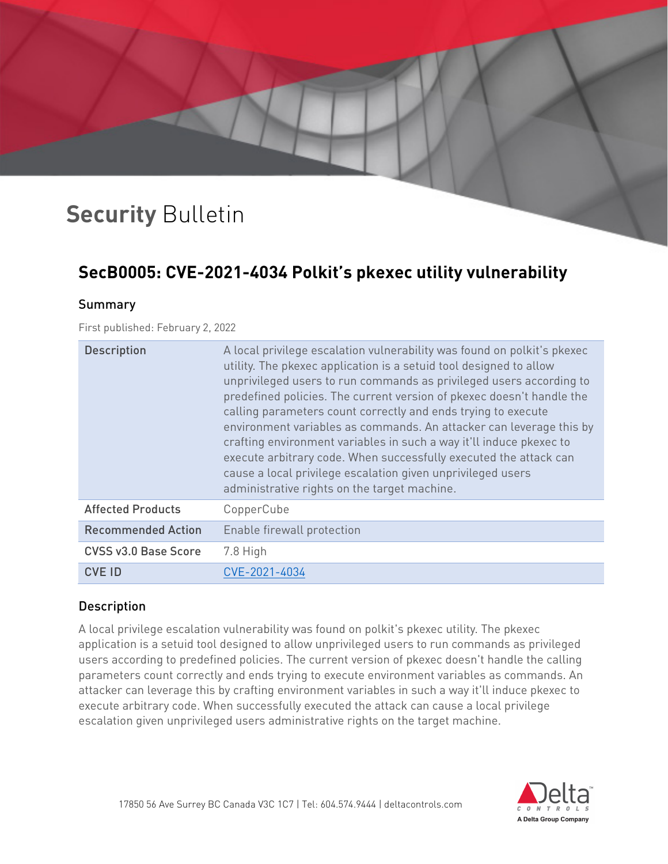# **Security** Bulletin

### **SecB0005: CVE-2021-4034 Polkit's pkexec utility vulnerability**

#### Summary

#### First published: February 2, 2022

| <b>Description</b>          | A local privilege escalation vulnerability was found on polkit's pkexec<br>utility. The pkexec application is a setuid tool designed to allow<br>unprivileged users to run commands as privileged users according to<br>predefined policies. The current version of pkexec doesn't handle the<br>calling parameters count correctly and ends trying to execute<br>environment variables as commands. An attacker can leverage this by<br>crafting environment variables in such a way it'll induce pkexec to<br>execute arbitrary code. When successfully executed the attack can<br>cause a local privilege escalation given unprivileged users<br>administrative rights on the target machine. |
|-----------------------------|--------------------------------------------------------------------------------------------------------------------------------------------------------------------------------------------------------------------------------------------------------------------------------------------------------------------------------------------------------------------------------------------------------------------------------------------------------------------------------------------------------------------------------------------------------------------------------------------------------------------------------------------------------------------------------------------------|
| <b>Affected Products</b>    | CopperCube                                                                                                                                                                                                                                                                                                                                                                                                                                                                                                                                                                                                                                                                                       |
| <b>Recommended Action</b>   | Enable firewall protection                                                                                                                                                                                                                                                                                                                                                                                                                                                                                                                                                                                                                                                                       |
| <b>CVSS v3.0 Base Score</b> | 7.8 High                                                                                                                                                                                                                                                                                                                                                                                                                                                                                                                                                                                                                                                                                         |
| <b>CVE ID</b>               | CVE-2021-4034                                                                                                                                                                                                                                                                                                                                                                                                                                                                                                                                                                                                                                                                                    |

#### Description

A local privilege escalation vulnerability was found on polkit's pkexec utility. The pkexec application is a setuid tool designed to allow unprivileged users to run commands as privileged users according to predefined policies. The current version of pkexec doesn't handle the calling parameters count correctly and ends trying to execute environment variables as commands. An attacker can leverage this by crafting environment variables in such a way it'll induce pkexec to execute arbitrary code. When successfully executed the attack can cause a local privilege escalation given unprivileged users administrative rights on the target machine.

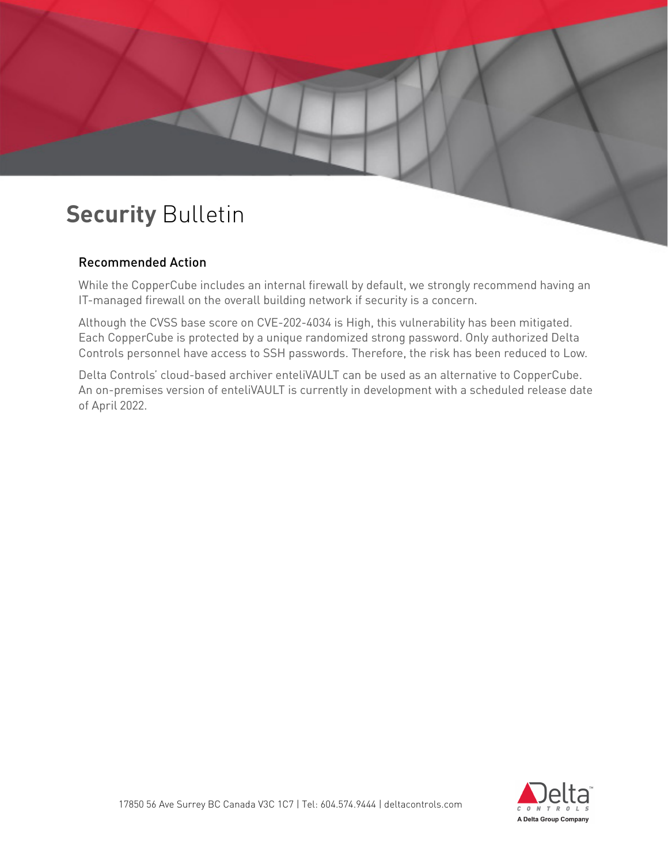## **Security** Bulletin

#### Recommended Action

While the CopperCube includes an internal firewall by default, we strongly recommend having an IT-managed firewall on the overall building network if security is a concern.

Although the CVSS base score on CVE-202-4034 is High, this vulnerability has been mitigated. Each CopperCube is protected by a unique randomized strong password. Only authorized Delta Controls personnel have access to SSH passwords. Therefore, the risk has been reduced to Low.

Delta Controls' cloud-based archiver enteliVAULT can be used as an alternative to CopperCube. An on-premises version of enteliVAULT is currently in development with a scheduled release date of April 2022.